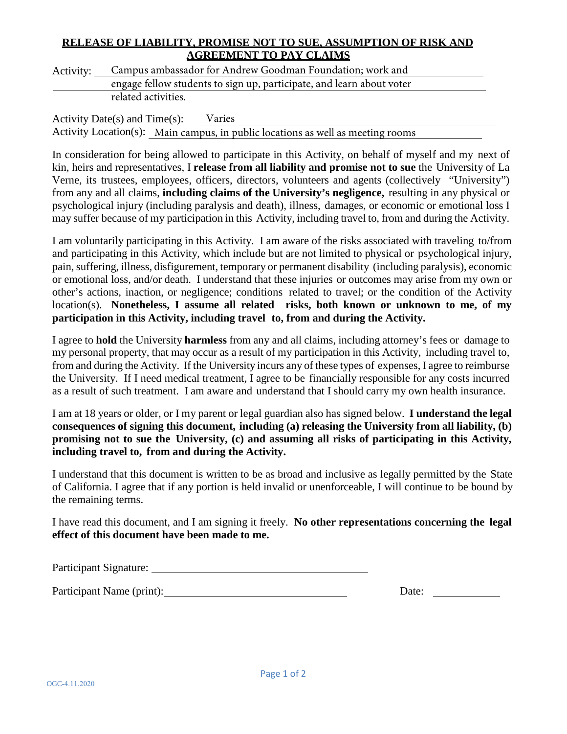## **RELEASE OF LIABILITY, PROMISE NOT TO SUE, ASSUMPTION OF RISK AND AGREEMENT TO PAY CLAIMS**

| Activity: | Campus ambassador for Andrew Goodman Foundation; work and                                                                                                                                                                                                                                                   |  |
|-----------|-------------------------------------------------------------------------------------------------------------------------------------------------------------------------------------------------------------------------------------------------------------------------------------------------------------|--|
|           | engage fellow students to sign up, participate, and learn about voter                                                                                                                                                                                                                                       |  |
|           | related activities.                                                                                                                                                                                                                                                                                         |  |
|           | $\mathbf{A}$ , $\mathbf{B}$ , $\mathbf{A}$ , $\mathbf{C}$ , $\mathbf{A}$ , $\mathbf{B}$ , $\mathbf{C}$ , $\mathbf{A}$ , $\mathbf{C}$ , $\mathbf{A}$ , $\mathbf{A}$ , $\mathbf{A}$ , $\mathbf{A}$ , $\mathbf{A}$ , $\mathbf{A}$ , $\mathbf{A}$ , $\mathbf{A}$ , $\mathbf{A}$ , $\mathbf{A}$ , $\mathbf{A}$ , |  |

Activity Date(s) and Time(s): Varies Activity Location(s): Main campus, in public locations as well as meeting rooms

In consideration for being allowed to participate in this Activity, on behalf of myself and my next of kin, heirs and representatives, I **release from all liability and promise not to sue** the University of La Verne, its trustees, employees, officers, directors, volunteers and agents (collectively "University") from any and all claims, **including claims of the University's negligence,** resulting in any physical or psychological injury (including paralysis and death), illness, damages, or economic or emotional loss I may suffer because of my participation in this Activity, including travel to, from and during the Activity.

I am voluntarily participating in this Activity. I am aware of the risks associated with traveling to/from and participating in this Activity, which include but are not limited to physical or psychological injury, pain, suffering, illness, disfigurement, temporary or permanent disability (including paralysis), economic or emotional loss, and/or death. I understand that these injuries or outcomes may arise from my own or other's actions, inaction, or negligence; conditions related to travel; or the condition of the Activity location(s). **Nonetheless, I assume all related risks, both known or unknown to me, of my participation in this Activity, including travel to, from and during the Activity.**

I agree to **hold** the University **harmless** from any and all claims, including attorney's fees or damage to my personal property, that may occur as a result of my participation in this Activity, including travel to, from and during the Activity. If the University incurs any of these types of expenses, I agree to reimburse the University. If I need medical treatment, I agree to be financially responsible for any costs incurred as a result of such treatment. I am aware and understand that I should carry my own health insurance.

I am at 18 years or older, or I my parent or legal guardian also has signed below. **I understand the legal consequences of signing this document, including (a) releasing the University from all liability, (b) promising not to sue the University, (c) and assuming all risks of participating in this Activity, including travel to, from and during the Activity.**

I understand that this document is written to be as broad and inclusive as legally permitted by the State of California. I agree that if any portion is held invalid or unenforceable, I will continue to be bound by the remaining terms.

I have read this document, and I am signing it freely. **No other representations concerning the legal effect of this document have been made to me.**

Participant Signature:

Participant Name (print): Date: Date: